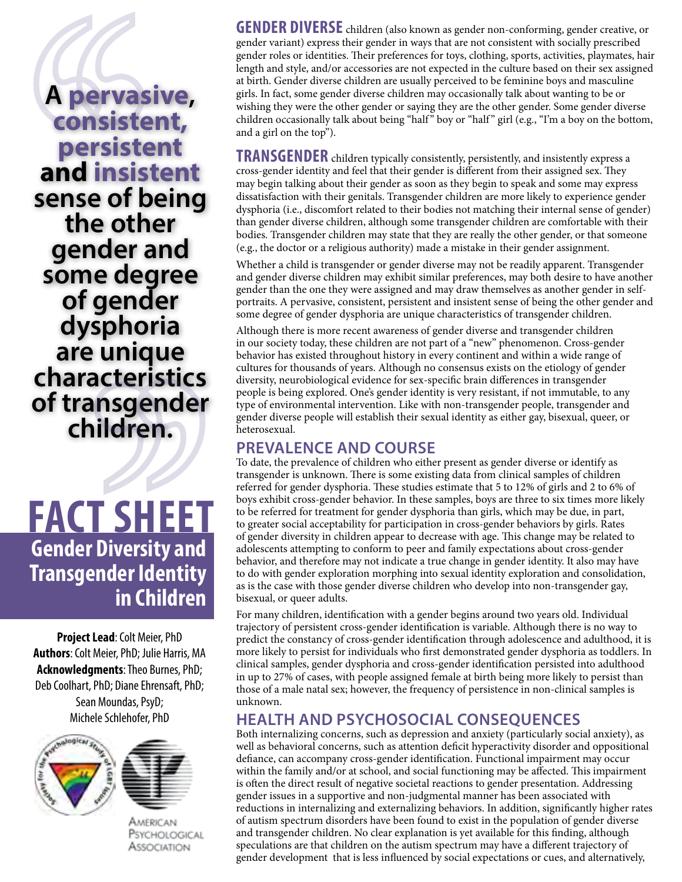**A pervasive, consistent, persistent and insistent sense of being the other gender and some degree of gender dysphoria are unique characteristics of transgender children.**

**Gender Diversity and Transgender Identity in Children Fact Sheet**

**Project Lead**: Colt Meier, PhD **Authors**: Colt Meier, PhD; Julie Harris, MA **Acknowledgments**: Theo Burnes, PhD; Deb Coolhart, PhD; Diane Ehrensaft, PhD; Sean Moundas, PsyD; Michele Schlehofer, PhD



American Psychological

Association

**GENDER DIVERSE** children (also known as gender non-conforming, gender creative, or gender variant) express their gender in ways that are not consistent with socially prescribed gender roles or identities. Their preferences for toys, clothing, sports, activities, playmates, hair length and style, and/or accessories are not expected in the culture based on their sex assigned at birth. Gender diverse children are usually perceived to be feminine boys and masculine girls. In fact, some gender diverse children may occasionally talk about wanting to be or wishing they were the other gender or saying they are the other gender. Some gender diverse children occasionally talk about being "half" boy or "half" girl (e.g., "I'm a boy on the bottom, and a girl on the top").

**TRANSGENDER** children typically consistently, persistently, and insistently express a cross-gender identity and feel that their gender is different from their assigned sex. They may begin talking about their gender as soon as they begin to speak and some may express dissatisfaction with their genitals. Transgender children are more likely to experience gender dysphoria (i.e., discomfort related to their bodies not matching their internal sense of gender) than gender diverse children, although some transgender children are comfortable with their bodies. Transgender children may state that they are really the other gender, or that someone (e.g., the doctor or a religious authority) made a mistake in their gender assignment.

Whether a child is transgender or gender diverse may not be readily apparent. Transgender and gender diverse children may exhibit similar preferences, may both desire to have another gender than the one they were assigned and may draw themselves as another gender in selfportraits. A pervasive, consistent, persistent and insistent sense of being the other gender and some degree of gender dysphoria are unique characteristics of transgender children.

Although there is more recent awareness of gender diverse and transgender children in our society today, these children are not part of a "new" phenomenon. Cross-gender behavior has existed throughout history in every continent and within a wide range of cultures for thousands of years. Although no consensus exists on the etiology of gender diversity, neurobiological evidence for sex-specific brain differences in transgender people is being explored. One's gender identity is very resistant, if not immutable, to any type of environmental intervention. Like with non-transgender people, transgender and gender diverse people will establish their sexual identity as either gay, bisexual, queer, or heterosexual.

# **Prevalence and Course**

To date, the prevalence of children who either present as gender diverse or identify as transgender is unknown. There is some existing data from clinical samples of children referred for gender dysphoria. These studies estimate that 5 to 12% of girls and 2 to 6% of boys exhibit cross-gender behavior. In these samples, boys are three to six times more likely to be referred for treatment for gender dysphoria than girls, which may be due, in part, to greater social acceptability for participation in cross-gender behaviors by girls. Rates of gender diversity in children appear to decrease with age. This change may be related to adolescents attempting to conform to peer and family expectations about cross-gender behavior, and therefore may not indicate a true change in gender identity. It also may have to do with gender exploration morphing into sexual identity exploration and consolidation, as is the case with those gender diverse children who develop into non-transgender gay, bisexual, or queer adults.

For many children, identification with a gender begins around two years old. Individual trajectory of persistent cross-gender identification is variable. Although there is no way to predict the constancy of cross-gender identification through adolescence and adulthood, it is more likely to persist for individuals who first demonstrated gender dysphoria as toddlers. In clinical samples, gender dysphoria and cross-gender identification persisted into adulthood in up to 27% of cases, with people assigned female at birth being more likely to persist than those of a male natal sex; however, the frequency of persistence in non-clinical samples is unknown.

# **Health and Psychosocial Consequences**

Both internalizing concerns, such as depression and anxiety (particularly social anxiety), as well as behavioral concerns, such as attention deficit hyperactivity disorder and oppositional defiance, can accompany cross-gender identification. Functional impairment may occur within the family and/or at school, and social functioning may be affected. This impairment is often the direct result of negative societal reactions to gender presentation. Addressing gender issues in a supportive and non-judgmental manner has been associated with reductions in internalizing and externalizing behaviors. In addition, significantly higher rates of autism spectrum disorders have been found to exist in the population of gender diverse and transgender children. No clear explanation is yet available for this finding, although speculations are that children on the autism spectrum may have a different trajectory of gender development that is less influenced by social expectations or cues, and alternatively,